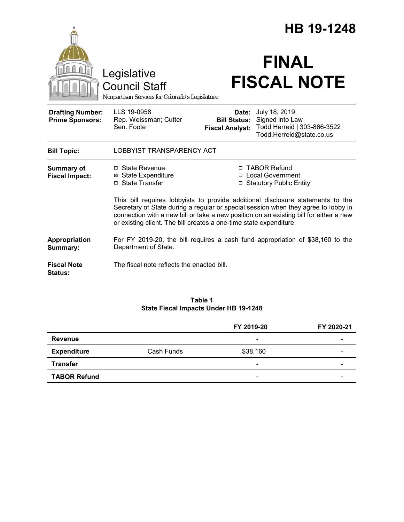|                                                   |                                                                                                                                                                                                                                                                                                                                       |                                                                   | HB 19-1248                                                                                        |  |
|---------------------------------------------------|---------------------------------------------------------------------------------------------------------------------------------------------------------------------------------------------------------------------------------------------------------------------------------------------------------------------------------------|-------------------------------------------------------------------|---------------------------------------------------------------------------------------------------|--|
|                                                   | Legislative<br><b>Council Staff</b><br>Nonpartisan Services for Colorado's Legislature                                                                                                                                                                                                                                                |                                                                   | <b>FINAL</b><br><b>FISCAL NOTE</b>                                                                |  |
| <b>Drafting Number:</b><br><b>Prime Sponsors:</b> | LLS 19-0958<br>Rep. Weissman; Cutter<br>Sen. Foote                                                                                                                                                                                                                                                                                    | <b>Bill Status:</b><br><b>Fiscal Analyst:</b>                     | Date: July 18, 2019<br>Signed into Law<br>Todd Herreid   303-866-3522<br>Todd.Herreid@state.co.us |  |
| <b>Bill Topic:</b>                                | LOBBYIST TRANSPARENCY ACT                                                                                                                                                                                                                                                                                                             |                                                                   |                                                                                                   |  |
| <b>Summary of</b><br><b>Fiscal Impact:</b>        | $\Box$ State Revenue<br><b>⊠</b> State Expenditure<br>□ State Transfer                                                                                                                                                                                                                                                                | □ TABOR Refund<br>□ Local Government<br>□ Statutory Public Entity |                                                                                                   |  |
|                                                   | This bill requires lobbyists to provide additional disclosure statements to the<br>Secretary of State during a regular or special session when they agree to lobby in<br>connection with a new bill or take a new position on an existing bill for either a new<br>or existing client. The bill creates a one-time state expenditure. |                                                                   |                                                                                                   |  |
| Appropriation<br>Summary:                         | For FY 2019-20, the bill requires a cash fund appropriation of \$38,160 to the<br>Department of State.                                                                                                                                                                                                                                |                                                                   |                                                                                                   |  |
| <b>Fiscal Note</b><br><b>Status:</b>              | The fiscal note reflects the enacted bill.                                                                                                                                                                                                                                                                                            |                                                                   |                                                                                                   |  |

### **Table 1 State Fiscal Impacts Under HB 19-1248**

|                     |            | FY 2019-20               | FY 2020-21 |
|---------------------|------------|--------------------------|------------|
| <b>Revenue</b>      |            | $\overline{\phantom{a}}$ |            |
| <b>Expenditure</b>  | Cash Funds | \$38,160                 |            |
| <b>Transfer</b>     |            | $\overline{\phantom{a}}$ |            |
| <b>TABOR Refund</b> |            | $\overline{\phantom{0}}$ |            |